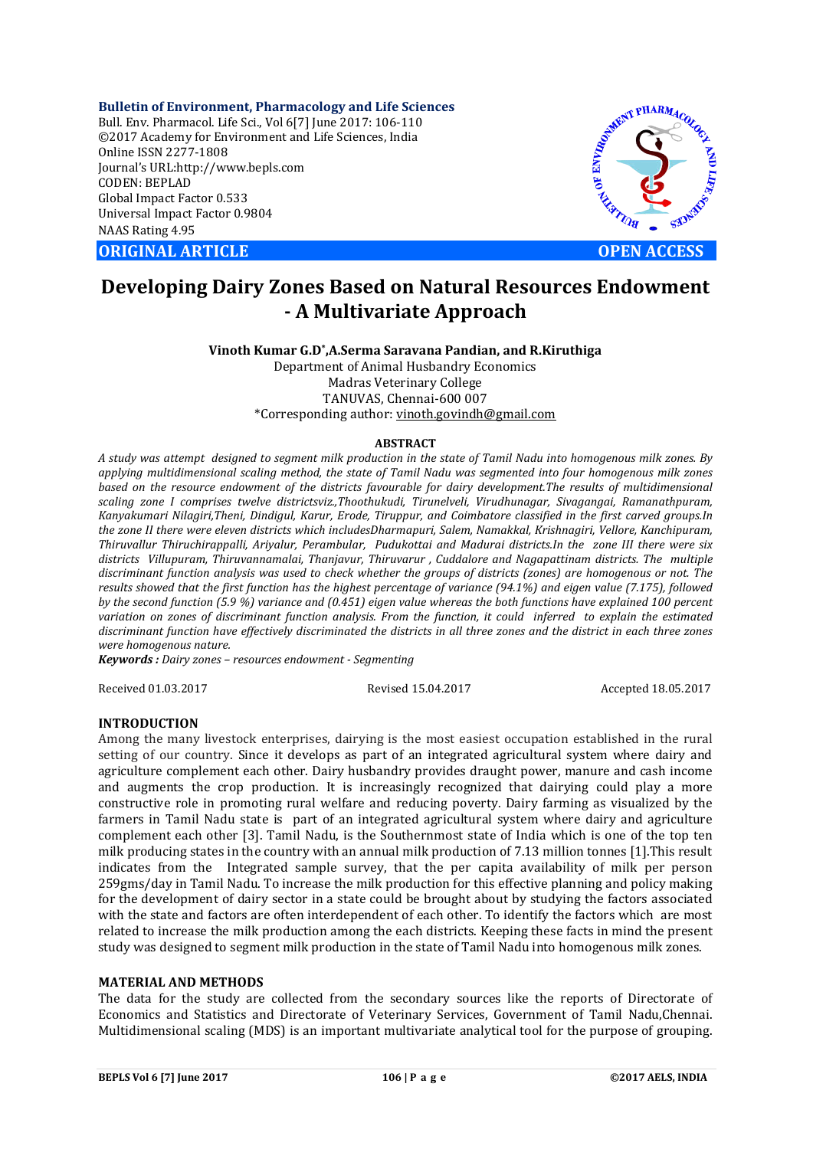**Bulletin of Environment, Pharmacology and Life Sciences** Bull. Env. Pharmacol. Life Sci., Vol 6[7] June 2017: 106-110 ©2017 Academy for Environment and Life Sciences, India Online ISSN 2277-1808 Journal's URL:http://www.bepls.com CODEN: BEPLAD Global Impact Factor 0.533 Universal Impact Factor 0.9804 NAAS Rating 4.95

**ORIGINAL ARTICLE OPEN ACCESS** 



# **Developing Dairy Zones Based on Natural Resources Endowment - A Multivariate Approach**

**Vinoth Kumar G.D\*,A.Serma Saravana Pandian, and R.Kiruthiga** Department of Animal Husbandry Economics Madras Veterinary College TANUVAS, Chennai-600 007 \*Corresponding author: vinoth.govindh@gmail.com

#### **ABSTRACT**

*A study was attempt designed to segment milk production in the state of Tamil Nadu into homogenous milk zones. By applying multidimensional scaling method, the state of Tamil Nadu was segmented into four homogenous milk zones based on the resource endowment of the districts favourable for dairy development.The results of multidimensional scaling zone I comprises twelve districtsviz.,Thoothukudi, Tirunelveli, Virudhunagar, Sivagangai, Ramanathpuram, Kanyakumari Nilagiri,Theni, Dindigul, Karur, Erode, Tiruppur, and Coimbatore classified in the first carved groups.In the zone II there were eleven districts which includesDharmapuri, Salem, Namakkal, Krishnagiri, Vellore, Kanchipuram, Thiruvallur Thiruchirappalli, Ariyalur, Perambular, Pudukottai and Madurai districts.In the zone III there were six districts Villupuram, Thiruvannamalai, Thanjavur, Thiruvarur , Cuddalore and Nagapattinam districts. The multiple discriminant function analysis was used to check whether the groups of districts (zones) are homogenous or not. The results showed that the first function has the highest percentage of variance (94.1%) and eigen value (7.175), followed by the second function (5.9 %) variance and (0.451) eigen value whereas the both functions have explained 100 percent variation on zones of discriminant function analysis. From the function, it could inferred to explain the estimated discriminant function have effectively discriminated the districts in all three zones and the district in each three zones were homogenous nature.*

*Keywords : Dairy zones – resources endowment - Segmenting* 

Received 01.03.2017 Revised 15.04.2017 Accepted 18.05.2017

### **INTRODUCTION**

Among the many livestock enterprises, dairying is the most easiest occupation established in the rural setting of our country. Since it develops as part of an integrated agricultural system where dairy and agriculture complement each other. Dairy husbandry provides draught power, manure and cash income and augments the crop production. It is increasingly recognized that dairying could play a more constructive role in promoting rural welfare and reducing poverty. Dairy farming as visualized by the farmers in Tamil Nadu state is part of an integrated agricultural system where dairy and agriculture complement each other [3]. Tamil Nadu, is the Southernmost state of India which is one of the top ten milk producing states in the country with an annual milk production of 7.13 million tonnes [1].This result indicates from the Integrated sample survey, that the per capita availability of milk per person 259gms/day in Tamil Nadu. To increase the milk production for this effective planning and policy making for the development of dairy sector in a state could be brought about by studying the factors associated with the state and factors are often interdependent of each other. To identify the factors which are most related to increase the milk production among the each districts. Keeping these facts in mind the present study was designed to segment milk production in the state of Tamil Nadu into homogenous milk zones.

# **MATERIAL AND METHODS**

The data for the study are collected from the secondary sources like the reports of Directorate of Economics and Statistics and Directorate of Veterinary Services, Government of Tamil Nadu,Chennai. Multidimensional scaling (MDS) is an important multivariate analytical tool for the purpose of grouping.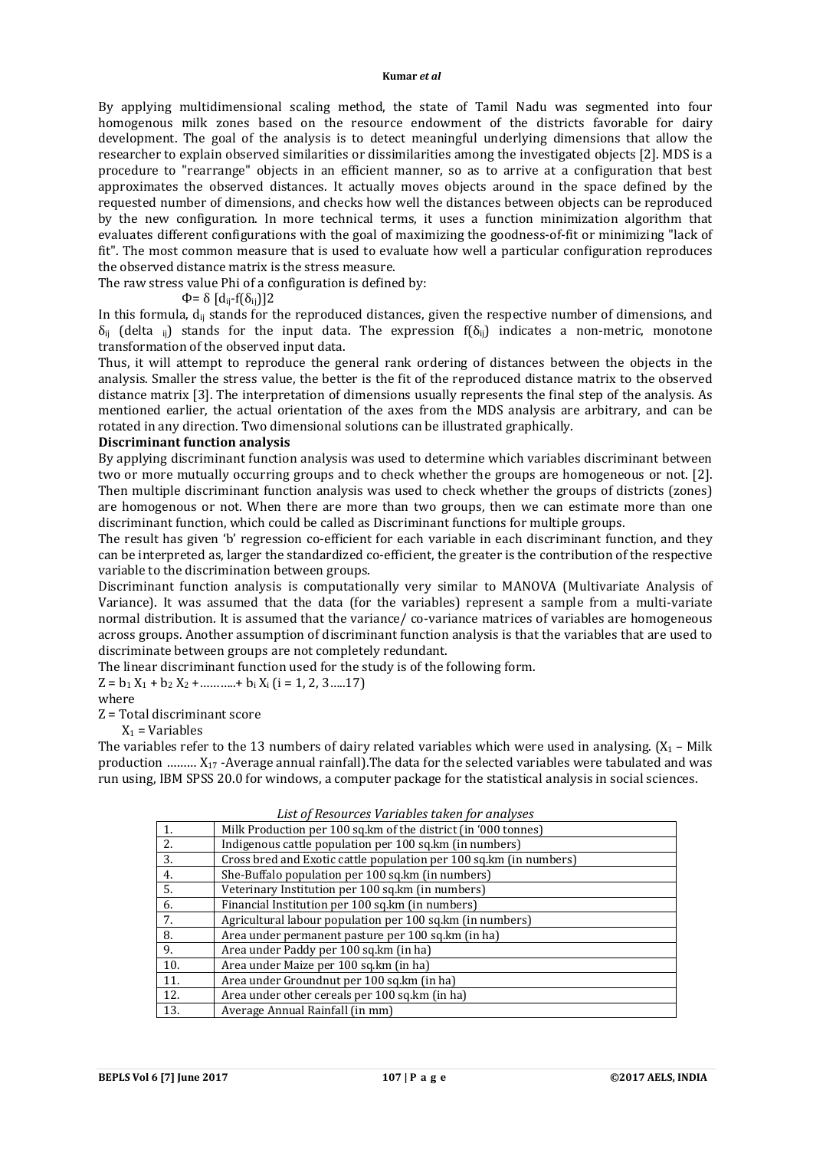#### **Kumar** *et al*

By applying multidimensional scaling method, the state of Tamil Nadu was segmented into four homogenous milk zones based on the resource endowment of the districts favorable for dairy development. The goal of the analysis is to detect meaningful underlying dimensions that allow the researcher to explain observed similarities or dissimilarities among the investigated objects [2]. MDS is a procedure to "rearrange" objects in an efficient manner, so as to arrive at a configuration that best approximates the observed distances. It actually moves objects around in the space defined by the requested number of dimensions, and checks how well the distances between objects can be reproduced by the new configuration. In more technical terms, it uses a function minimization algorithm that evaluates different configurations with the goal of maximizing the goodness-of-fit or minimizing "lack of fit". The most common measure that is used to evaluate how well a particular configuration reproduces the observed distance matrix is the stress measure.

The raw stress value Phi of a configuration is defined by:

 $Φ = δ \left[ d_{ii} - f(δ_{ii}) \right] 2$ 

In this formula,  $d_{ii}$  stands for the reproduced distances, given the respective number of dimensions, and  $\delta_{ij}$  (delta <sub>ij</sub>) stands for the input data. The expression f( $\delta_{ij}$ ) indicates a non-metric, monotone transformation of the observed input data.

Thus, it will attempt to reproduce the general rank ordering of distances between the objects in the analysis. Smaller the stress value, the better is the fit of the reproduced distance matrix to the observed distance matrix [3]. The interpretation of dimensions usually represents the final step of the analysis. As mentioned earlier, the actual orientation of the axes from the MDS analysis are arbitrary, and can be rotated in any direction. Two dimensional solutions can be illustrated graphically.

#### **Discriminant function analysis**

By applying discriminant function analysis was used to determine which variables discriminant between two or more mutually occurring groups and to check whether the groups are homogeneous or not. [2]. Then multiple discriminant function analysis was used to check whether the groups of districts (zones) are homogenous or not. When there are more than two groups, then we can estimate more than one discriminant function, which could be called as Discriminant functions for multiple groups.

The result has given 'b' regression co-efficient for each variable in each discriminant function, and they can be interpreted as, larger the standardized co-efficient, the greater is the contribution of the respective variable to the discrimination between groups.

Discriminant function analysis is computationally very similar to MANOVA (Multivariate Analysis of Variance). It was assumed that the data (for the variables) represent a sample from a multi-variate normal distribution. It is assumed that the variance/ co-variance matrices of variables are homogeneous across groups. Another assumption of discriminant function analysis is that the variables that are used to discriminate between groups are not completely redundant.

The linear discriminant function used for the study is of the following form.

 $Z = b_1 X_1 + b_2 X_2 + \dots + b_i X_i$  (i = 1, 2, 3 .....17)

where

Z = Total discriminant score

 $X_1$  = Variables

The variables refer to the 13 numbers of dairy related variables which were used in analysing.  $(X_1 -$  Milk production ……… X17 -Average annual rainfall).The data for the selected variables were tabulated and was run using, IBM SPSS 20.0 for windows, a computer package for the statistical analysis in social sciences.

| 1.  | Milk Production per 100 sq. km of the district (in '000 tonnes)     |
|-----|---------------------------------------------------------------------|
| 2.  | Indigenous cattle population per 100 sq. km (in numbers)            |
| 3.  | Cross bred and Exotic cattle population per 100 sq. km (in numbers) |
| 4.  | She-Buffalo population per 100 sq.km (in numbers)                   |
| 5.  | Veterinary Institution per 100 sq.km (in numbers)                   |
| 6.  | Financial Institution per 100 sq.km (in numbers)                    |
| 7.  | Agricultural labour population per 100 sq.km (in numbers)           |
| 8.  | Area under permanent pasture per 100 sq. km (in ha)                 |
| 9.  | Area under Paddy per 100 sq. km (in ha)                             |
| 10. | Area under Maize per 100 sq. km (in ha)                             |
| 11. | Area under Groundnut per 100 sq.km (in ha)                          |
| 12. | Area under other cereals per 100 sq. km (in ha)                     |
| 13. | Average Annual Rainfall (in mm)                                     |

*List of Resources Variables taken for analyses*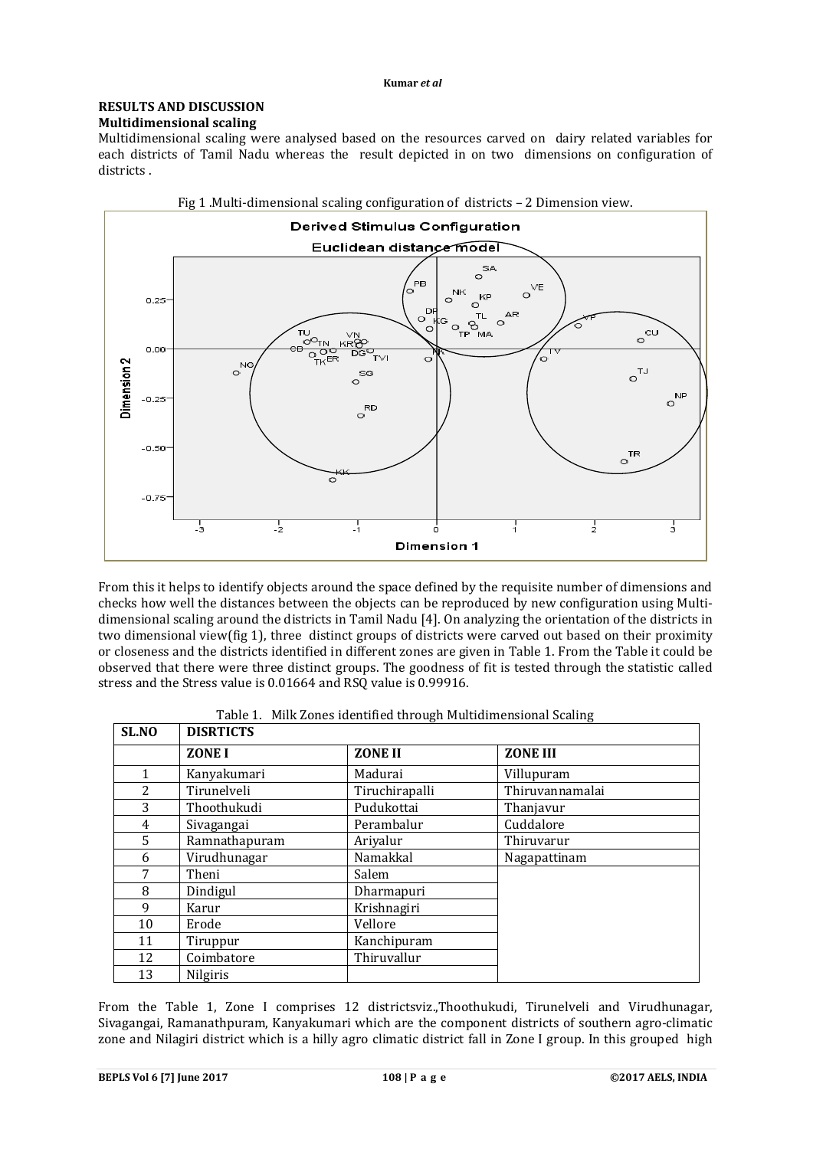### **RESULTS AND DISCUSSION Multidimensional scaling**

Multidimensional scaling were analysed based on the resources carved on dairy related variables for each districts of Tamil Nadu whereas the result depicted in on two dimensions on configuration of districts .



From this it helps to identify objects around the space defined by the requisite number of dimensions and checks how well the distances between the objects can be reproduced by new configuration using Multidimensional scaling around the districts in Tamil Nadu [4]. On analyzing the orientation of the districts in two dimensional view(fig 1), three distinct groups of districts were carved out based on their proximity or closeness and the districts identified in different zones are given in Table 1. From the Table it could be observed that there were three distinct groups. The goodness of fit is tested through the statistic called stress and the Stress value is 0.01664 and RSQ value is 0.99916.

| SL.NO          | <b>DISRTICTS</b> |                |                 |
|----------------|------------------|----------------|-----------------|
|                | ZONE I           | <b>ZONE II</b> | <b>ZONE III</b> |
| 1              | Kanyakumari      | Madurai        | Villupuram      |
| $\overline{c}$ | Tirunelveli      | Tiruchirapalli | Thiruvannamalai |
| 3              | Thoothukudi      | Pudukottai     | Thanjavur       |
| 4              | Sivagangai       | Perambalur     | Cuddalore       |
| 5              | Ramnathapuram    | Ariyalur       | Thiruvarur      |
| 6              | Virudhunagar     | Namakkal       | Nagapattinam    |
| 7              | Theni            | Salem          |                 |
| 8              | Dindigul         | Dharmapuri     |                 |
| 9              | Karur            | Krishnagiri    |                 |
| 10             | Erode            | Vellore        |                 |
| 11             | Tiruppur         | Kanchipuram    |                 |
| 12             | Coimbatore       | Thiruvallur    |                 |
| 13             | <b>Nilgiris</b>  |                |                 |

|  |  |  |  |  | Table 1. Milk Zones identified through Multidimensional Scaling |
|--|--|--|--|--|-----------------------------------------------------------------|
|--|--|--|--|--|-----------------------------------------------------------------|

From the Table 1, Zone I comprises 12 districtsviz.,Thoothukudi, Tirunelveli and Virudhunagar, Sivagangai, Ramanathpuram, Kanyakumari which are the component districts of southern agro-climatic zone and Nilagiri district which is a hilly agro climatic district fall in Zone I group. In this grouped high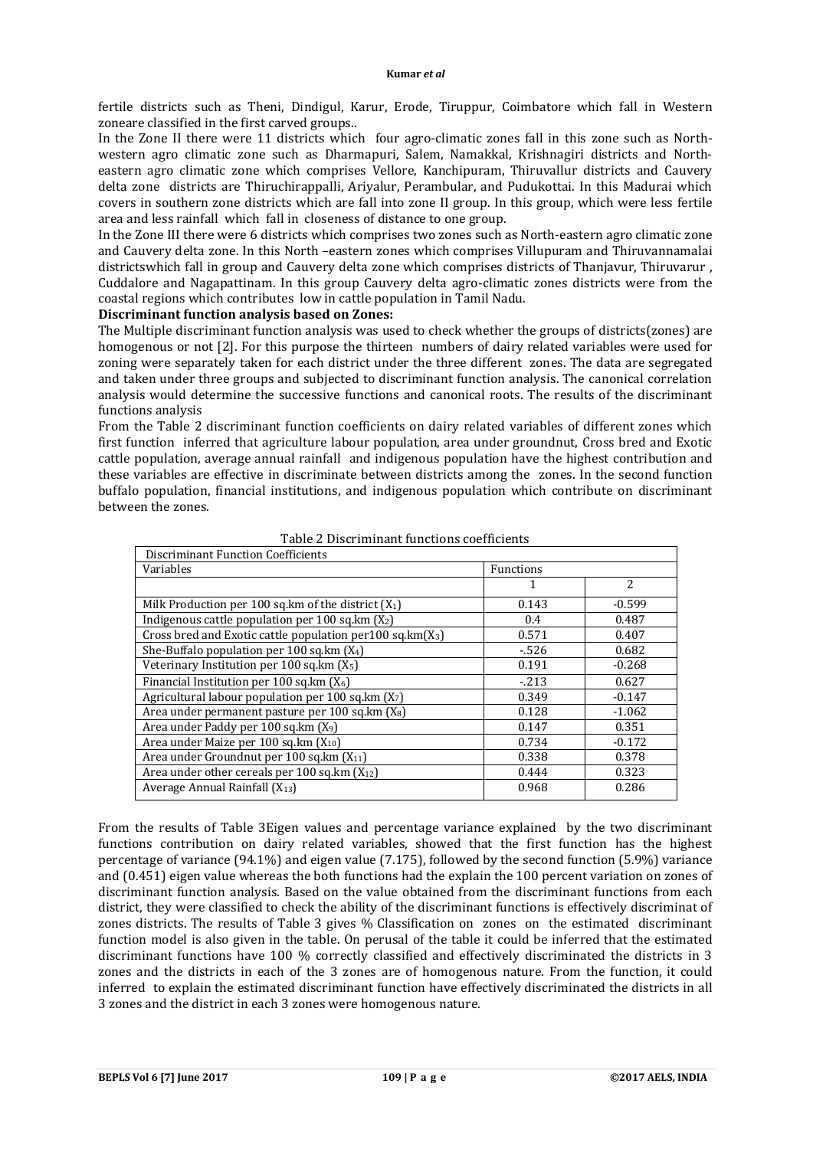fertile districts such as Theni, Dindigul, Karur, Erode, Tiruppur, Coimbatore which fall in Western zoneare classified in the first carved groups..

In the Zone II there were 11 districts which four agro-climatic zones fall in this zone such as Northwestern agro climatic zone such as Dharmapuri, Salem, Namakkal, Krishnagiri districts and Northeastern agro climatic zone which comprises Vellore, Kanchipuram, Thiruvallur districts and Cauvery delta zone districts are Thiruchirappalli, Ariyalur, Perambular, and Pudukottai. In this Madurai which covers in southern zone districts which are fall into zone II group. In this group, which were less fertile area and less rainfall which fall in closeness of distance to one group.

In the Zone III there were 6 districts which comprises two zones such as North-eastern agro climatic zone and Cauvery delta zone. In this North –eastern zones which comprises Villupuram and Thiruvannamalai districtswhich fall in group and Cauvery delta zone which comprises districts of Thanjavur, Thiruvarur , Cuddalore and Nagapattinam. In this group Cauvery delta agro-climatic zones districts were from the coastal regions which contributes low in cattle population in Tamil Nadu.

# **Discriminant function analysis based on Zones:**

The Multiple discriminant function analysis was used to check whether the groups of districts(zones) are homogenous or not [2]. For this purpose the thirteen numbers of dairy related variables were used for zoning were separately taken for each district under the three different zones. The data are segregated and taken under three groups and subjected to discriminant function analysis. The canonical correlation analysis would determine the successive functions and canonical roots. The results of the discriminant functions analysis

From the Table 2 discriminant function coefficients on dairy related variables of different zones which first function inferred that agriculture labour population, area under groundnut, Cross bred and Exotic cattle population, average annual rainfall and indigenous population have the highest contribution and these variables are effective in discriminate between districts among the zones. In the second function buffalo population, financial institutions, and indigenous population which contribute on discriminant between the zones.

| <b>Discriminant Function Coefficients</b>                       |           |                |  |  |  |
|-----------------------------------------------------------------|-----------|----------------|--|--|--|
| Variables                                                       | Functions |                |  |  |  |
|                                                                 |           | $\overline{2}$ |  |  |  |
| Milk Production per 100 sq. km of the district $(X_1)$          | 0.143     | $-0.599$       |  |  |  |
| Indigenous cattle population per 100 sq.km $(X_2)$              | 0.4       | 0.487          |  |  |  |
| Cross bred and Exotic cattle population per $100$ sq.km $(X_3)$ | 0.571     | 0.407          |  |  |  |
| She-Buffalo population per 100 sq.km $(X_4)$                    | $-526$    | 0.682          |  |  |  |
| Veterinary Institution per 100 sq. km $(X_5)$                   | 0.191     | $-0.268$       |  |  |  |
| Financial Institution per 100 sq. km $(X_6)$                    | $-213$    | 0.627          |  |  |  |
| Agricultural labour population per 100 sq.km (X7)               | 0.349     | $-0.147$       |  |  |  |
| Area under permanent pasture per 100 sq.km (X <sub>8</sub> )    | 0.128     | $-1.062$       |  |  |  |
| Area under Paddy per 100 sq.km (X <sub>9</sub> )                | 0.147     | 0.351          |  |  |  |
| Area under Maize per 100 sq.km (X <sub>10</sub> )               | 0.734     | $-0.172$       |  |  |  |
| Area under Groundnut per 100 sq.km (X <sub>11</sub> )           | 0.338     | 0.378          |  |  |  |
| Area under other cereals per 100 sq.km $(X_{12})$               | 0.444     | 0.323          |  |  |  |
| Average Annual Rainfall $(X_{13})$                              | 0.968     | 0.286          |  |  |  |

#### Table 2 Discriminant functions coefficients

From the results of Table 3Eigen values and percentage variance explained by the two discriminant functions contribution on dairy related variables, showed that the first function has the highest percentage of variance (94.1%) and eigen value (7.175), followed by the second function (5.9%) variance and (0.451) eigen value whereas the both functions had the explain the 100 percent variation on zones of discriminant function analysis. Based on the value obtained from the discriminant functions from each district, they were classified to check the ability of the discriminant functions is effectively discriminat of zones districts. The results of Table 3 gives % Classification on zones on the estimated discriminant function model is also given in the table. On perusal of the table it could be inferred that the estimated discriminant functions have 100 % correctly classified and effectively discriminated the districts in 3 zones and the districts in each of the 3 zones are of homogenous nature. From the function, it could inferred to explain the estimated discriminant function have effectively discriminated the districts in all 3 zones and the district in each 3 zones were homogenous nature.